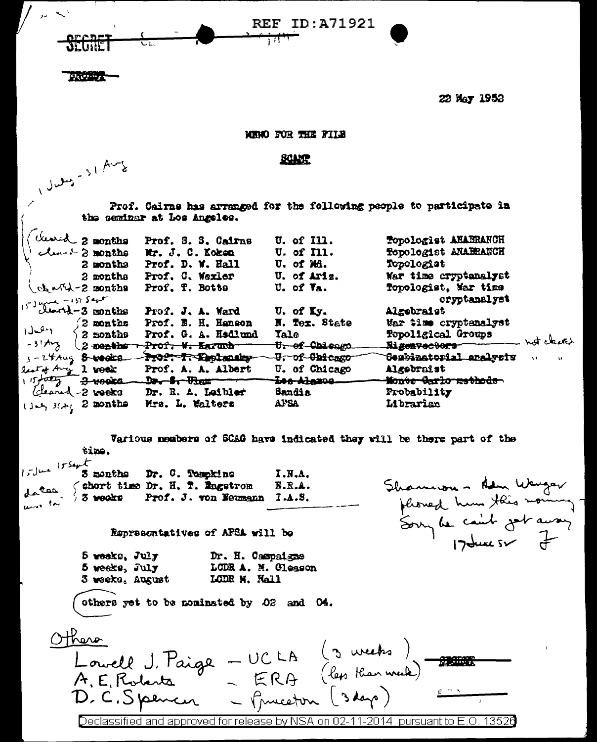**REF ID:A71921** 

Maria a

**22 May 1953** 

MENO FOR THE FILE

**BOARD** 

Prof. Calrns has arranged for the following people to participate in the seminar at Los Angeles.

|                                                        |                          | Prof. S. S. Cairns                   | U. of I11.                | Topologist AHABRANCH                                   |
|--------------------------------------------------------|--------------------------|--------------------------------------|---------------------------|--------------------------------------------------------|
|                                                        | Cleared 2 months         | Mr. J. C. Koken                      | <b>U.</b> of Ill.         | Topologist ANABRANCH                                   |
|                                                        | 2 months                 | Prof. D. W. Hall                     | U. of Mi.                 | Topologist                                             |
|                                                        | 2 months                 | Prof. C. Wexler                      | U. of Aris.               | War time cryptanalyst                                  |
| $\text{CohmG}$ = $\text{A}$                            |                          | Prof. T. Botts                       | $U2$ of $V3$ .            | Topologist, Mar time                                   |
|                                                        |                          |                                      |                           | cryptanalyst                                           |
| $153 \frac{\mu}{2}$ and $-157 \frac{54 \mu}{2}$ months |                          | Prof. J. A. Ward                     | $U$ , of $Ly$ .           | Algebraist                                             |
|                                                        | $2$ months               | Prof. B. H. Hanson                   | N. Tex. State             | War time cryptanalyst                                  |
| 1 مال 1                                                | $\leq$ 2 nonths          | Prof. G. A. Hadlund                  | Tale                      | Topoligical Groups<br>not clears                       |
| $-31$ thez                                             |                          | 2 nonths Prof. W. Karuch             | U <sub>r</sub> of Chicago | Rigenvectors                                           |
|                                                        |                          | 3-24Aug 8-weeks - Profect Contenancy | -U. of Chicago            | Genbinatorial aralysis<br>$\mathbf{u}$<br>$\mathbf{u}$ |
| lest of Any 1 work                                     |                          | Prof. A. A. Albert                   | U. of Chicago             | Algebraist                                             |
|                                                        | $115/0027$ $7.400000$    |                                      | <del>les Al</del> amos    | Monte Carlo methods                                    |
|                                                        | <i>(cleared -2 voors</i> | Dr. R. A. Leibler                    | <b>Sandia</b>             | Probability                                            |
| Went state 2 months                                    |                          | Mrs. L. Walters                      | AFSA                      | Librarian                                              |
|                                                        |                          |                                      |                           |                                                        |

Various mombers of SCAG have indicated they will be there part of the tino. Is June 15 Sept 3 months Dr. C. Tompkins  $I.H.A.$ (short time Dr. H. T. Engetrom  $B.R.A.$ 

Representatives of AFSA will be

Prof. J. von Neumann I.A.S.

5 resks, July Dr. H. Campaigne LODR A. M. Cleason 5 weeks, July LODE N. Nall 3 weeks, August

others yet to be nominated by 02 and 04.

Othero Louvell J. Paige - UCLA (3 weeks)<br>A. E. Roberts - ERA (les than week)<br>D. C. Spencer - Gueston (3 days) pursuant to Declassified and approved for release by NSA .on. 13526

Shammon - Ham Wanger<br>flored hun this noming<br>Sorry de caint jet away

1 July - 31 Aug

tas

united

 $5$  weeks